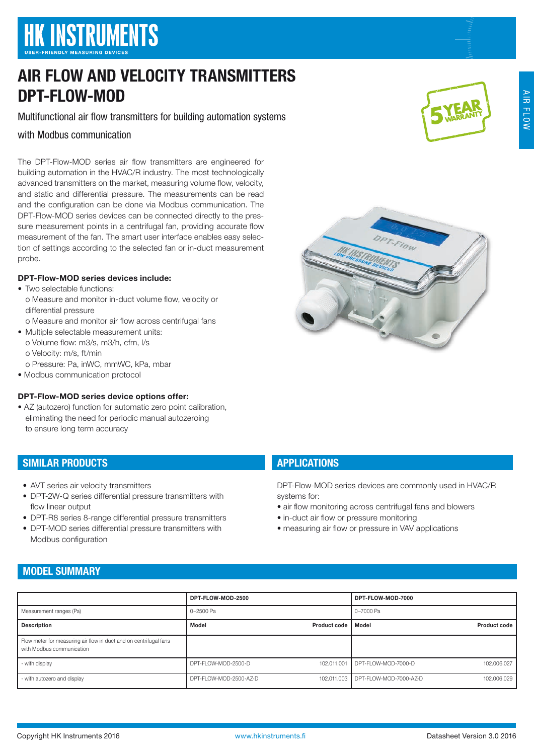# **HK INSTRUMENTS**

## AIR FLOW AND VELOCITY TRANSMITTERS DPT-FLOW-MOD

#### Multifunctional air flow transmitters for building automation systems

#### with Modbus communication

The DPT-Flow-MOD series air flow transmitters are engineered for building automation in the HVAC/R industry. The most technologically advanced transmitters on the market, measuring volume flow, velocity, and static and differential pressure. The measurements can be read and the configuration can be done via Modbus communication. The DPT-Flow-MOD series devices can be connected directly to the pressure measurement points in a centrifugal fan, providing accurate flow measurement of the fan. The smart user interface enables easy selection of settings according to the selected fan or in-duct measurement probe.

#### DPT-Flow-MOD series devices include:

- Two selectable functions:
	- o Measure and monitor in-duct volume flow, velocity or differential pressure
	- o Measure and monitor air flow across centrifugal fans
- Multiple selectable measurement units: o Volume flow: m3/s, m3/h, cfm, l/s o Velocity: m/s, ft/min
	- o Pressure: Pa, inWC, mmWC, kPa, mbar
- Modbus communication protocol

#### DPT-Flow-MOD series device options offer:

• AZ (autozero) function for automatic zero point calibration, eliminating the need for periodic manual autozeroing to ensure long term accuracy

#### SIMILAR PRODUCTS

- AVT series air velocity transmitters
- DPT-2W-Q series differential pressure transmitters with flow linear output
- DPT-R8 series 8-range differential pressure transmitters
- DPT-MOD series differential pressure transmitters with Modbus configuration

#### **APPLICATIONS**

DPT-Flow-MOD series devices are commonly used in HVAC/R systems for:

Flow

- air flow monitoring across centrifugal fans and blowers
- in-duct air flow or pressure monitoring
- measuring air flow or pressure in VAV applications

### MODEL SUMMARY

|                                                                                                | DPT-FLOW-MOD-2500                  | DPT-FLOW-MOD-7000                                 |
|------------------------------------------------------------------------------------------------|------------------------------------|---------------------------------------------------|
| Measurement ranges (Pa)                                                                        | 0-2500 Pa                          | 0-7000 Pa                                         |
| <b>Description</b>                                                                             | Model<br>Product code 1            | Product code<br>Model                             |
| Flow meter for measuring air flow in duct and on centrifugal fans<br>with Modbus communication |                                    |                                                   |
| - with display                                                                                 | 102.011.001<br>DPT-FLOW-MOD-2500-D | 102.006.027<br>DPT-FLOW-MOD-7000-D                |
| - with autozero and display                                                                    | DPT-FLOW-MOD-2500-AZ-D             | 102.011.003 DPT-FLOW-MOD-7000-AZ-D<br>102.006.029 |